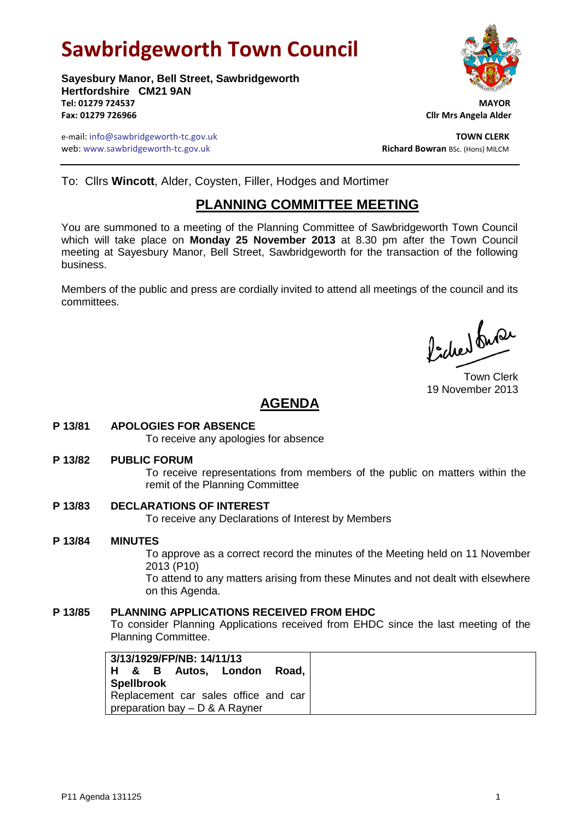# **Sawbridgeworth Town Council**

**Sayesbury Manor, Bell Street, Sawbridgeworth Hertfordshire CM21 9AN Tel: 01279 724537 MAYOR Fax: 01279 726966 Cllr Mrs Angela Alder**

e-mail: info@sawbridgeworth-tc.gov.uk **TOWN CLERK** web: www.sawbridgeworth-tc.gov.uk<br> **Richard Bowran** BSc. (Hons) MILCM

To: Cllrs **Wincott**, Alder, Coysten, Filler, Hodges and Mortimer

# **PLANNING COMMITTEE MEETING**

You are summoned to a meeting of the Planning Committee of Sawbridgeworth Town Council which will take place on **Monday 25 November 2013** at 8.30 pm after the Town Council meeting at Sayesbury Manor, Bell Street, Sawbridgeworth for the transaction of the following business.

Members of the public and press are cordially invited to attend all meetings of the council and its committees.

Picked fune

Town Clerk 19 November 2013

# **AGENDA**

## **P 13/81 APOLOGIES FOR ABSENCE**

To receive any apologies for absence

**P 13/82 PUBLIC FORUM**

To receive representations from members of the public on matters within the remit of the Planning Committee

**P 13/83 DECLARATIONS OF INTEREST**

To receive any Declarations of Interest by Members

#### **P 13/84 MINUTES**

To approve as a correct record the minutes of the Meeting held on 11 November 2013 (P10)

To attend to any matters arising from these Minutes and not dealt with elsewhere on this Agenda.

### **P 13/85 PLANNING APPLICATIONS RECEIVED FROM EHDC**

To consider Planning Applications received from EHDC since the last meeting of the Planning Committee.

| 3/13/1929/FP/NB: 14/11/13            |  |  |  |                           |  |
|--------------------------------------|--|--|--|---------------------------|--|
|                                      |  |  |  | H & B Autos, London Road, |  |
| <b>Spellbrook</b>                    |  |  |  |                           |  |
| Replacement car sales office and car |  |  |  |                           |  |
| preparation bay - D & A Rayner       |  |  |  |                           |  |